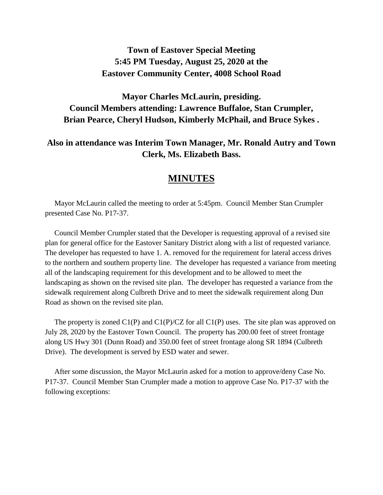# **Town of Eastover Special Meeting 5:45 PM Tuesday, August 25, 2020 at the Eastover Community Center, 4008 School Road**

# **Mayor Charles McLaurin, presiding. Council Members attending: Lawrence Buffaloe, Stan Crumpler, Brian Pearce, Cheryl Hudson, Kimberly McPhail, and Bruce Sykes .**

### **Also in attendance was Interim Town Manager, Mr. Ronald Autry and Town Clerk, Ms. Elizabeth Bass.**

## **MINUTES**

 Mayor McLaurin called the meeting to order at 5:45pm. Council Member Stan Crumpler presented Case No. P17-37.

 Council Member Crumpler stated that the Developer is requesting approval of a revised site plan for general office for the Eastover Sanitary District along with a list of requested variance. The developer has requested to have 1. A. removed for the requirement for lateral access drives to the northern and southern property line. The developer has requested a variance from meeting all of the landscaping requirement for this development and to be allowed to meet the landscaping as shown on the revised site plan. The developer has requested a variance from the sidewalk requirement along Culbreth Drive and to meet the sidewalk requirement along Dun Road as shown on the revised site plan.

The property is zoned  $Cl(P)$  and  $Cl(P)/CZ$  for all  $Cl(P)$  uses. The site plan was approved on July 28, 2020 by the Eastover Town Council. The property has 200.00 feet of street frontage along US Hwy 301 (Dunn Road) and 350.00 feet of street frontage along SR 1894 (Culbreth Drive). The development is served by ESD water and sewer.

 After some discussion, the Mayor McLaurin asked for a motion to approve/deny Case No. P17-37. Council Member Stan Crumpler made a motion to approve Case No. P17-37 with the following exceptions: